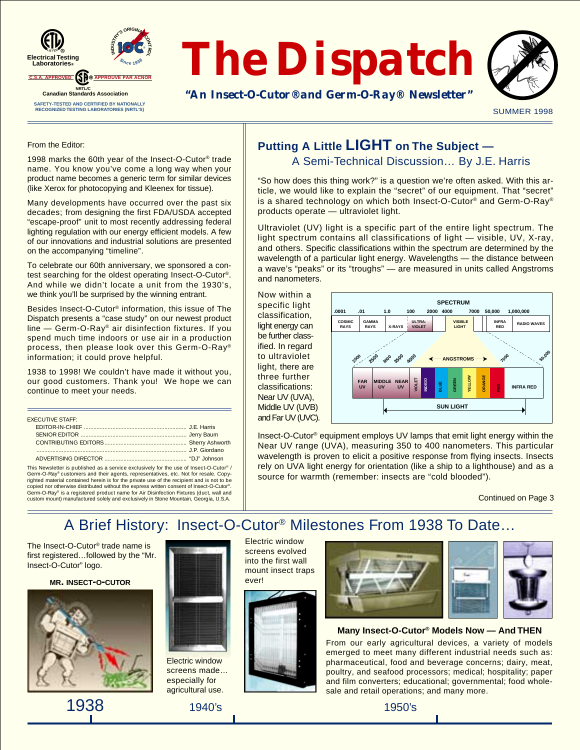



SUMMER 1998

#### From the Editor:

1998 marks the 60th year of the Insect-O-Cutor® trade name. You know you've come a long way when your product name becomes a generic term for similar devices (like Xerox for photocopying and Kleenex for tissue).

Many developments have occurred over the past six decades; from designing the first FDA/USDA accepted "escape-proof" unit to most recently addressing federal lighting regulation with our energy efficient models. A few of our innovations and industrial solutions are presented on the accompanying "timeline".

To celebrate our 60th anniversary, we sponsored a contest searching for the oldest operating Insect-O-Cutor®. And while we didn't locate a unit from the 1930's, we think you'll be surprised by the winning entrant.

Besides Insect-O-Cutor® information, this issue of The Dispatch presents a "case study" on our newest product line — Germ-O-Ray® air disinfection fixtures. If you spend much time indoors or use air in a production process, then please look over this Germ-O-Ray® information; it could prove helpful.

1938 to 1998! We couldn't have made it without you, our good customers. Thank you! We hope we can continue to meet your needs.

| <b>FXECUTIVE STAFF:</b> |  |
|-------------------------|--|
|                         |  |
|                         |  |
|                         |  |
|                         |  |
|                         |  |

This Newsletter is published as a service exclusively for the use of Insect-O-Cutor® / Germ-O-Ray® customers and their agents, representatives, etc. Not for resale. Copy-righted material contained herein is for the private use of the recipient and is not to be copied nor otherwise distributed without the express written consent of Insect-O-Cutor®. Germ-O-Ray® is a registered product name for Air Disinfection Fixtures (duct, wall and custom mount) manufactured solely and exclusively in Stone Mountain, Georgia, U.S.A.

### **Putting A Little LIGHT on The Subject —** A Semi-Technical Discussion… By J.E. Harris

"So how does this thing work?" is a question we're often asked. With this article, we would like to explain the "secret" of our equipment. That "secret" is a shared technology on which both Insect-O-Cutor® and Germ-O-Ray® products operate — ultraviolet light.

Ultraviolet (UV) light is a specific part of the entire light spectrum. The light spectrum contains all classifications of light — visible, UV, X-ray, and others. Specific classifications within the spectrum are determined by the wavelength of a particular light energy. Wavelengths - the distance between a wave's "peaks" or its "troughs" — are measured in units called Angstroms and nanometers.

Now within a specific light classification, light energy can be further classified. In regard to ultraviolet light, there are three further classifications: Near UV (UVA), Middle UV (UVB) and Far UV (UVC).



Insect-O-Cutor® equipment employs UV lamps that emit light energy within the Near UV range (UVA), measuring 350 to 400 nanometers. This particular wavelength is proven to elicit a positive response from flying insects. Insects rely on UVA light energy for orientation (like a ship to a lighthouse) and as a source for warmth (remember: insects are "cold blooded").

Continued on Page 3

# A Brief History: Insect-O-Cutor® Milestones From 1938 To Date…

The Insect-O-Cutor® trade name is first registered…followed by the "Mr. Insect-O-Cutor" logo.

**MR. INSECT-O-CUTOR**







Electric window screens made… especially for agricultural use.

Electric window screens evolved into the first wall mount insect traps ever!





#### **Many Insect-O-Cutor® Models Now — And THEN**

From our early agricultural devices, a variety of models emerged to meet many different industrial needs such as: pharmaceutical, food and beverage concerns; dairy, meat, poultry, and seafood processors; medical; hospitality; paper and film converters; educational; governmental; food wholesale and retail operations; and many more.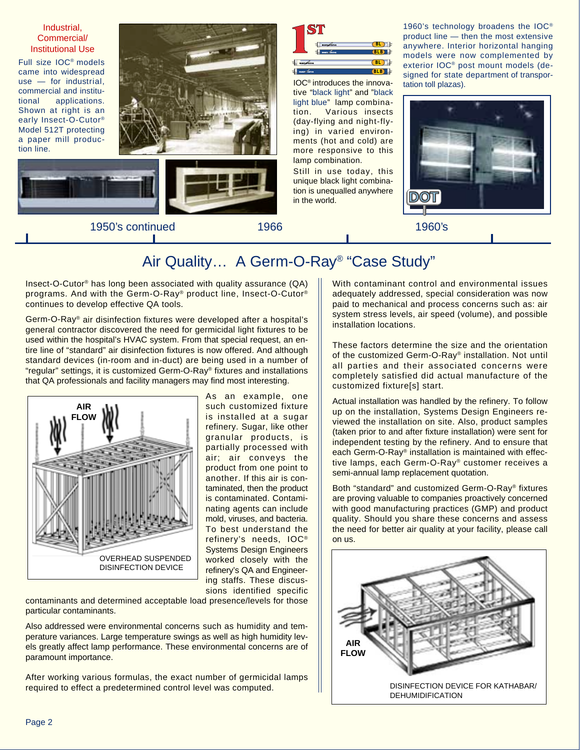Industrial, Commercial/ Institutional Use

Full size IOC® models came into widespread use — for industrial, commercial and institutional applications. Shown at right is an early Insect-O-Cutor® Model 512T protecting a paper mill production line.







1950's continued 1966 1960's

n B

**BLB BL**  $(BL)$ **BLB**

IOC® introduces the innovative "black light" and "black light blue" lamp combination. Various insects (day-flying and night-flying) in varied environments (hot and cold) are more responsive to this lamp combination.

Still in use today, this unique black light combination is unequalled anywhere in the world.

1960's technology broadens the IOC® product line — then the most extensive anywhere. Interior horizontal hanging models were now complemented by exterior IOC® post mount models (designed for state department of transportation toll plazas).



## Air Quality… A Germ-O-Ray® "Case Study"

Insect-O-Cutor® has long been associated with quality assurance (QA) programs. And with the Germ-O-Ray® product line, Insect-O-Cutor® continues to develop effective QA tools.

Germ-O-Ray® air disinfection fixtures were developed after a hospital's general contractor discovered the need for germicidal light fixtures to be used within the hospital's HVAC system. From that special request, an entire line of "standard" air disinfection fixtures is now offered. And although standard devices (in-room and in-duct) are being used in a number of "regular" settings, it is customized Germ-O-Ray® fixtures and installations that QA professionals and facility managers may find most interesting.



As an example, one such customized fixture is installed at a sugar refinery. Sugar, like other granular products, is partially processed with air; air conveys the product from one point to another. If this air is contaminated, then the product is contaminated. Contaminating agents can include mold, viruses, and bacteria. To best understand the refinery's needs, IOC® Systems Design Engineers worked closely with the refinery's QA and Engineering staffs. These discussions identified specific

contaminants and determined acceptable load presence/levels for those particular contaminants.

Also addressed were environmental concerns such as humidity and temperature variances. Large temperature swings as well as high humidity levels greatly affect lamp performance. These environmental concerns are of paramount importance.

After working various formulas, the exact number of germicidal lamps required to effect a predetermined control level was computed.

With contaminant control and environmental issues adequately addressed, special consideration was now paid to mechanical and process concerns such as: air system stress levels, air speed (volume), and possible installation locations.

These factors determine the size and the orientation of the customized Germ-O-Ray® installation. Not until all parties and their associated concerns were completely satisfied did actual manufacture of the customized fixture[s] start.

Actual installation was handled by the refinery. To follow up on the installation, Systems Design Engineers reviewed the installation on site. Also, product samples (taken prior to and after fixture installation) were sent for independent testing by the refinery. And to ensure that each Germ-O-Ray® installation is maintained with effective lamps, each Germ-O-Ray® customer receives a semi-annual lamp replacement quotation.

Both "standard" and customized Germ-O-Ray® fixtures are proving valuable to companies proactively concerned with good manufacturing practices (GMP) and product quality. Should you share these concerns and assess the need for better air quality at your facility, please call on us.

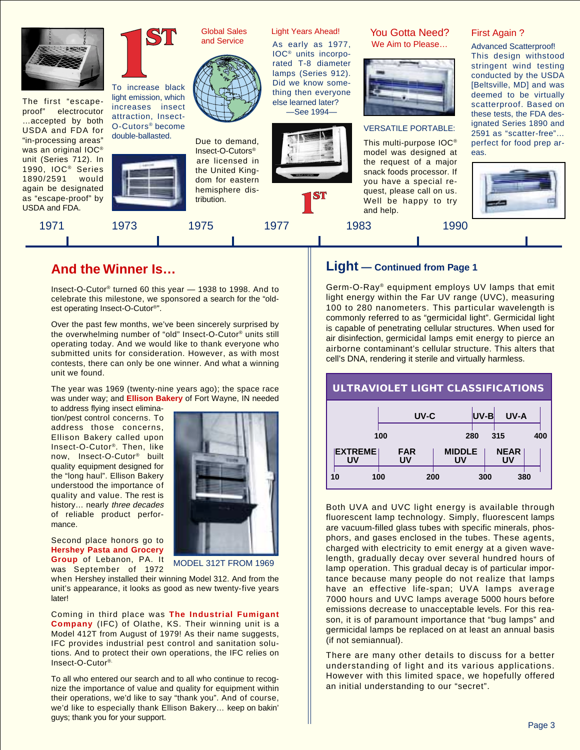

The first "escapeproof" electrocutor …accepted by both USDA and FDA for "in-processing areas" was an original IOC® unit (Series 712). In 1990, IOC<sup>®</sup> Series 1890/2591 would again be designated as "escape-proof" by USDA and FDA.



To increase black light emission, which increases insect attraction, Insect-O-Cutors® become double-ballasted.



Global Sales and Service



Due to demand, Insect-O-Cutors® are licensed in the United Kingdom for eastern hemisphere distribution.

1971 1973 1975 1977 1983 1990

### Light Years Ahead! You Gotta Need?

As early as 1977, IOC® units incorporated T-8 diameter lamps (Series 912). Did we know something then everyone else learned later? —See 1994—



We Aim to Please…



#### VERSATILE PORTABLE:

This multi-purpose IOC® model was designed at the request of a major snack foods processor. If you have a special request, please call on us. Well be happy to try and help.

First Again ?

Advanced Scatterproof! This design withstood stringent wind testing conducted by the USDA [Beltsville, MD] and was deemed to be virtually scatterproof. Based on these tests, the FDA designated Series 1890 and 2591 as "scatter-free"… perfect for food prep areas.



### **And the Winner Is…**

Insect-O-Cutor® turned 60 this year — 1938 to 1998. And to celebrate this milestone, we sponsored a search for the "oldest operating Insect-O-Cutor®".

Over the past few months, we've been sincerely surprised by the overwhelming number of "old" Insect-O-Cutor® units still operating today. And we would like to thank everyone who submitted units for consideration. However, as with most contests, there can only be one winner. And what a winning unit we found.

The year was 1969 (twenty-nine years ago); the space race was under way; and **Ellison Bakery** of Fort Wayne, IN needed

to address flying insect elimination/pest control concerns. To address those concerns, Ellison Bakery called upon Insect-O-Cutor®. Then, like now, Insect-O-Cutor® built quality equipment designed for the "long haul". Ellison Bakery understood the importance of quality and value. The rest is history... nearly three decades of reliable product performance.



Second place honors go to **Hershey Pasta and Grocery Group** of Lebanon, PA. It

was September of 1972

MODEL 312T FROM 1969

when Hershey installed their winning Model 312. And from the unit's appearance, it looks as good as new twenty-five years **later!** 

Coming in third place was **The Industrial Fumigant Company** (IFC) of Olathe, KS. Their winning unit is a Model 412T from August of 1979! As their name suggests, IFC provides industrial pest control and sanitation solutions. And to protect their own operations, the IFC relies on Insect-O-Cutor®.

To all who entered our search and to all who continue to recognize the importance of value and quality for equipment within their operations, we'd like to say "thank you". And of course, we'd like to especially thank Ellison Bakery… keep on bakin' guys; thank you for your support.

### **Light — Continued from Page 1**

Germ-O-Ray® equipment employs UV lamps that emit light energy within the Far UV range (UVC), measuring 100 to 280 nanometers. This particular wavelength is commonly referred to as "germicidal light". Germicidal light is capable of penetrating cellular structures. When used for air disinfection, germicidal lamps emit energy to pierce an airborne contaminant's cellular structure. This alters that cell's DNA, rendering it sterile and virtually harmless.

# **ULTRAVIOLET LIGHT CLASSIFICATIONS**

|     |                      | UV-C             |     |                     | UV-B | UV-A              |  |
|-----|----------------------|------------------|-----|---------------------|------|-------------------|--|
| 100 |                      | 280<br>315       |     |                     | 400  |                   |  |
|     | <b>EXTREME</b><br>UV | <b>FAR</b><br>UV |     | <b>MIDDLE</b><br>UV |      | <b>NEAR</b><br>UV |  |
|     | 10                   | 100              | 200 |                     | 300  | 380               |  |

Both UVA and UVC light energy is available through fluorescent lamp technology. Simply, fluorescent lamps are vacuum-filled glass tubes with specific minerals, phosphors, and gases enclosed in the tubes. These agents, charged with electricity to emit energy at a given wavelength, gradually decay over several hundred hours of lamp operation. This gradual decay is of particular importance because many people do not realize that lamps have an effective life-span; UVA lamps average 7000 hours and UVC lamps average 5000 hours before emissions decrease to unacceptable levels. For this reason, it is of paramount importance that "bug lamps" and germicidal lamps be replaced on at least an annual basis (if not semiannual).

There are many other details to discuss for a better understanding of light and its various applications. However with this limited space, we hopefully offered an initial understanding to our "secret".